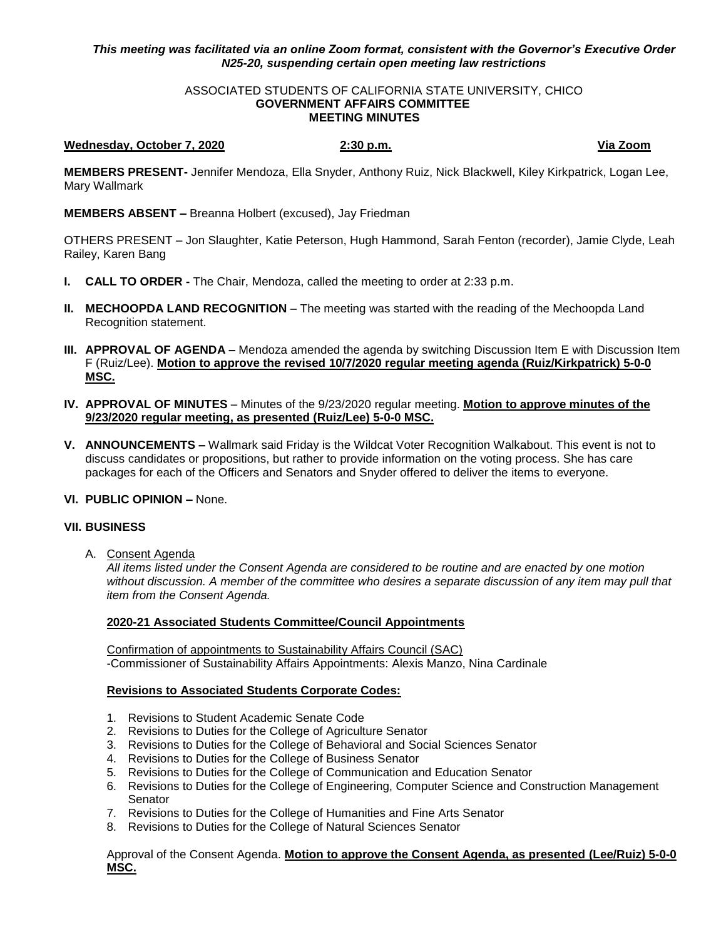# *This meeting was facilitated via an online Zoom format, consistent with the Governor's Executive Order N25-20, suspending certain open meeting law restrictions*

#### ASSOCIATED STUDENTS OF CALIFORNIA STATE UNIVERSITY, CHICO **GOVERNMENT AFFAIRS COMMITTEE MEETING MINUTES**

# **Wednesday, October 7, 2020 2:30 p.m. Via Zoom**

**MEMBERS PRESENT-** Jennifer Mendoza, Ella Snyder, Anthony Ruiz, Nick Blackwell, Kiley Kirkpatrick, Logan Lee, Mary Wallmark

**MEMBERS ABSENT –** Breanna Holbert (excused), Jay Friedman

OTHERS PRESENT – Jon Slaughter, Katie Peterson, Hugh Hammond, Sarah Fenton (recorder), Jamie Clyde, Leah Railey, Karen Bang

- **I. CALL TO ORDER -** The Chair, Mendoza, called the meeting to order at 2:33 p.m.
- **II. MECHOOPDA LAND RECOGNITION** The meeting was started with the reading of the Mechoopda Land Recognition statement.
- **III. APPROVAL OF AGENDA –** Mendoza amended the agenda by switching Discussion Item E with Discussion Item F (Ruiz/Lee). **Motion to approve the revised 10/7/2020 regular meeting agenda (Ruiz/Kirkpatrick) 5-0-0 MSC.**
- **IV. APPROVAL OF MINUTES** Minutes of the 9/23/2020 regular meeting. **Motion to approve minutes of the 9/23/2020 regular meeting, as presented (Ruiz/Lee) 5-0-0 MSC.**
- **V. ANNOUNCEMENTS –** Wallmark said Friday is the Wildcat Voter Recognition Walkabout. This event is not to discuss candidates or propositions, but rather to provide information on the voting process. She has care packages for each of the Officers and Senators and Snyder offered to deliver the items to everyone.
- **VI. PUBLIC OPINION –** None.

### **VII. BUSINESS**

A. Consent Agenda

*All items listed under the Consent Agenda are considered to be routine and are enacted by one motion without discussion. A member of the committee who desires a separate discussion of any item may pull that item from the Consent Agenda.* 

### **2020-21 Associated Students Committee/Council Appointments**

Confirmation of appointments to Sustainability Affairs Council (SAC) -Commissioner of Sustainability Affairs Appointments: Alexis Manzo, Nina Cardinale

# **Revisions to Associated Students Corporate Codes:**

- 1. Revisions to Student Academic Senate Code
- 2. Revisions to Duties for the College of Agriculture Senator
- 3. Revisions to Duties for the College of Behavioral and Social Sciences Senator
- 4. Revisions to Duties for the College of Business Senator
- 5. Revisions to Duties for the College of Communication and Education Senator
- 6. Revisions to Duties for the College of Engineering, Computer Science and Construction Management **Senator**
- 7. Revisions to Duties for the College of Humanities and Fine Arts Senator
- 8. Revisions to Duties for the College of Natural Sciences Senator

Approval of the Consent Agenda. **Motion to approve the Consent Agenda, as presented (Lee/Ruiz) 5-0-0 MSC.**